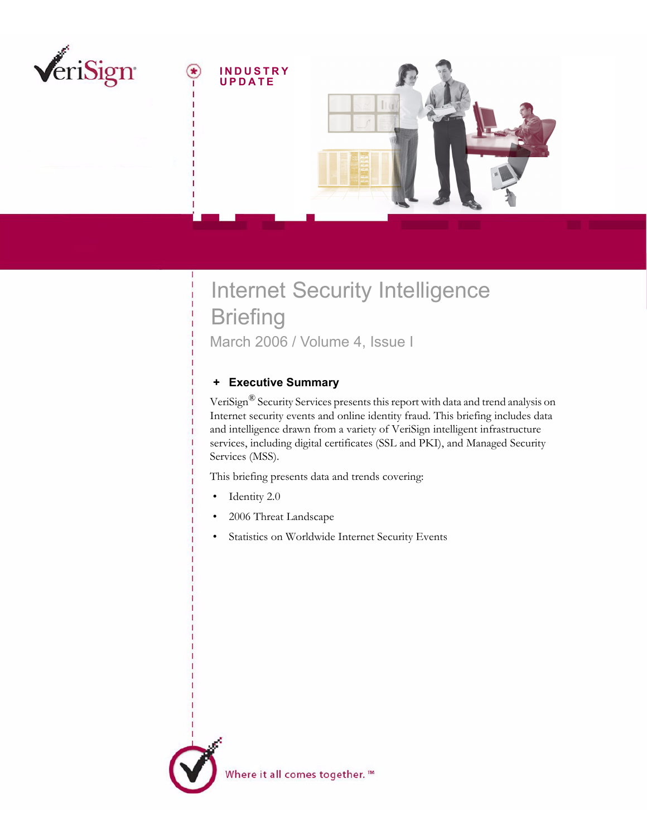

# Internet Security Intelligence **Briefing** March 2006 / Volume 4, Issue I

## <span id="page-0-0"></span> **+ Executive Summary**

VeriSign® Security Services presents this report with data and trend analysis on Internet security events and online identity fraud. This briefing includes data and intelligence drawn from a variety of VeriSign intelligent infrastructure services, including digital certificates (SSL and PKI), and Managed Security Services (MSS).

This briefing presents data and trends covering:

- Identity 2.0
- 2006 Threat Landscape
- Statistics on Worldwide Internet Security Events

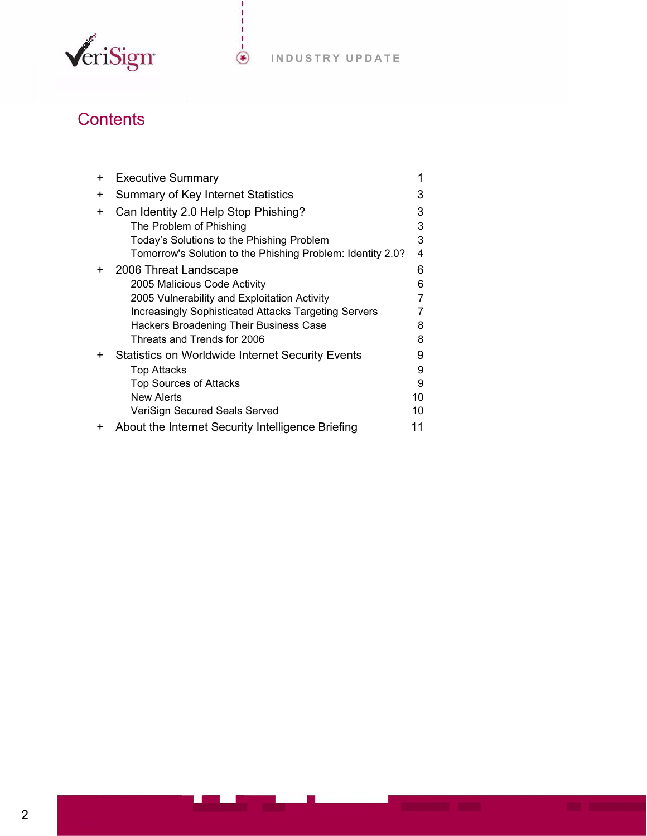

# **Contents**

| $\pm$     | <b>Executive Summary</b>                                   |    |
|-----------|------------------------------------------------------------|----|
| +         | Summary of Key Internet Statistics                         | 3  |
| $\ddot{}$ | Can Identity 2.0 Help Stop Phishing?                       | 3  |
|           | The Problem of Phishing                                    | 3  |
|           | Today's Solutions to the Phishing Problem                  | 3  |
|           | Tomorrow's Solution to the Phishing Problem: Identity 2.0? | 4  |
| $\ddot{}$ | 2006 Threat Landscape                                      | 6  |
|           | 2005 Malicious Code Activity                               | 6  |
|           | 2005 Vulnerability and Exploitation Activity               |    |
|           | Increasingly Sophisticated Attacks Targeting Servers       |    |
|           | Hackers Broadening Their Business Case                     | 8  |
|           | Threats and Trends for 2006                                | 8  |
| +         | <b>Statistics on Worldwide Internet Security Events</b>    | 9  |
|           | Top Attacks                                                | 9  |
|           | <b>Top Sources of Attacks</b>                              | 9  |
|           | New Alerts                                                 | 10 |
|           | VeriSign Secured Seals Served                              | 10 |
| ٠         | About the Internet Security Intelligence Briefing          |    |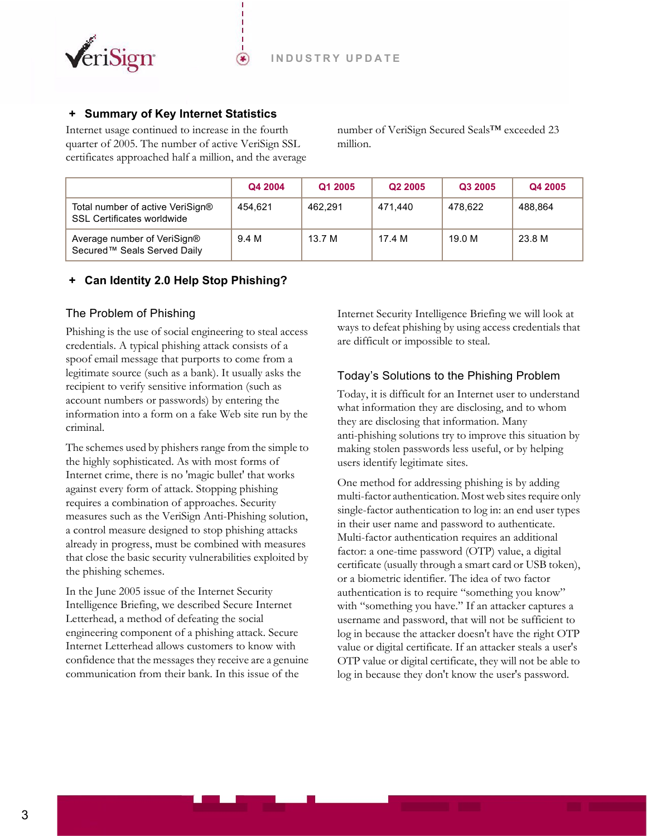

## <span id="page-2-0"></span> **+ Summary of Key Internet Statistics**

Internet usage continued to increase in the fourth quarter of 2005. The number of active VeriSign SSL certificates approached half a million, and the average

⊛

number of VeriSign Secured Seals™ exceeded 23 million.

|                                                                       | Q4 2004 | Q1 2005 | Q <sub>2</sub> 2005 | Q3 2005 | Q4 2005 |
|-----------------------------------------------------------------------|---------|---------|---------------------|---------|---------|
| Total number of active VeriSign®<br><b>SSL Certificates worldwide</b> | 454.621 | 462.291 | 471.440             | 478.622 | 488.864 |
| Average number of VeriSign®<br>Secured™ Seals Served Daily            | 9.4 M   | 13.7 M  | 17.4 M              | 19.0 M  | 23.8 M  |

### <span id="page-2-1"></span> **+ Can Identity 2.0 Help Stop Phishing?**

#### <span id="page-2-2"></span>The Problem of Phishing

Phishing is the use of social engineering to steal access credentials. A typical phishing attack consists of a spoof email message that purports to come from a legitimate source (such as a bank). It usually asks the recipient to verify sensitive information (such as account numbers or passwords) by entering the information into a form on a fake Web site run by the criminal.

The schemes used by phishers range from the simple to the highly sophisticated. As with most forms of Internet crime, there is no 'magic bullet' that works against every form of attack. Stopping phishing requires a combination of approaches. Security measures such as the VeriSign Anti-Phishing solution, a control measure designed to stop phishing attacks already in progress, must be combined with measures that close the basic security vulnerabilities exploited by the phishing schemes.

In the June 2005 issue of the Internet Security Intelligence Briefing, we described Secure Internet Letterhead, a method of defeating the social engineering component of a phishing attack. Secure Internet Letterhead allows customers to know with confidence that the messages they receive are a genuine communication from their bank. In this issue of the

Internet Security Intelligence Briefing we will look at ways to defeat phishing by using access credentials that are difficult or impossible to steal.

## <span id="page-2-3"></span>Today's Solutions to the Phishing Problem

Today, it is difficult for an Internet user to understand what information they are disclosing, and to whom they are disclosing that information. Many anti-phishing solutions try to improve this situation by making stolen passwords less useful, or by helping users identify legitimate sites.

One method for addressing phishing is by adding multi-factor authentication. Most web sites require only single-factor authentication to log in: an end user types in their user name and password to authenticate. Multi-factor authentication requires an additional factor: a one-time password (OTP) value, a digital certificate (usually through a smart card or USB token), or a biometric identifier. The idea of two factor authentication is to require "something you know" with "something you have." If an attacker captures a username and password, that will not be sufficient to log in because the attacker doesn't have the right OTP value or digital certificate. If an attacker steals a user's OTP value or digital certificate, they will not be able to log in because they don't know the user's password.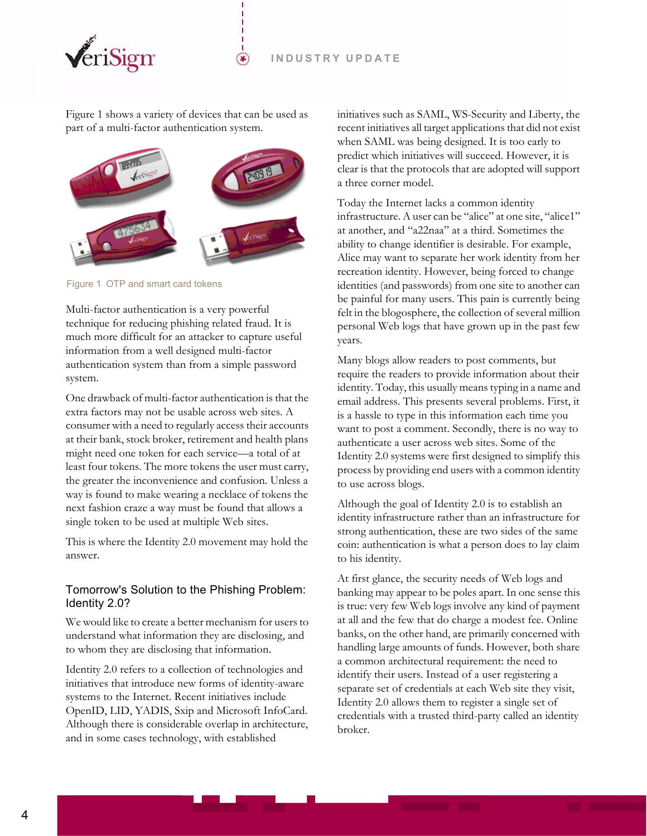

[Figure 1](#page-3-1) shows a variety of devices that can be used as part of a multi-factor authentication system.

⊛



<span id="page-3-1"></span>Figure 1 OTP and smart card tokens

Multi-factor authentication is a very powerful technique for reducing phishing related fraud. It is much more difficult for an attacker to capture useful information from a well designed multi-factor authentication system than from a simple password system.

One drawback of multi-factor authentication is that the extra factors may not be usable across web sites. A consumer with a need to regularly access their accounts at their bank, stock broker, retirement and health plans might need one token for each service—a total of at least four tokens. The more tokens the user must carry, the greater the inconvenience and confusion. Unless a way is found to make wearing a necklace of tokens the next fashion craze a way must be found that allows a single token to be used at multiple Web sites.

This is where the Identity 2.0 movement may hold the answer.

#### <span id="page-3-0"></span>Tomorrow's Solution to the Phishing Problem: Identity 2.0?

We would like to create a better mechanism for users to understand what information they are disclosing, and to whom they are disclosing that information.

Identity 2.0 refers to a collection of technologies and initiatives that introduce new forms of identity-aware systems to the Internet. Recent initiatives include OpenID, LID, YADIS, Sxip and Microsoft InfoCard. Although there is considerable overlap in architecture, and in some cases technology, with established

initiatives such as SAML, WS-Security and Liberty, the recent initiatives all target applications that did not exist when SAML was being designed. It is too early to predict which initiatives will succeed. However, it is clear is that the protocols that are adopted will support a three corner model.

Today the Internet lacks a common identity infrastructure. A user can be "alice" at one site, "alice1" at another, and "a22naa" at a third. Sometimes the ability to change identifier is desirable. For example, Alice may want to separate her work identity from her recreation identity. However, being forced to change identities (and passwords) from one site to another can be painful for many users. This pain is currently being felt in the blogosphere, the collection of several million personal Web logs that have grown up in the past few years.

Many blogs allow readers to post comments, but require the readers to provide information about their identity. Today, this usually means typing in a name and email address. This presents several problems. First, it is a hassle to type in this information each time you want to post a comment. Secondly, there is no way to authenticate a user across web sites. Some of the Identity 2.0 systems were first designed to simplify this process by providing end users with a common identity to use across blogs.

Although the goal of Identity 2.0 is to establish an identity infrastructure rather than an infrastructure for strong authentication, these are two sides of the same coin: authentication is what a person does to lay claim to his identity.

At first glance, the security needs of Web logs and banking may appear to be poles apart. In one sense this is true: very few Web logs involve any kind of payment at all and the few that do charge a modest fee. Online banks, on the other hand, are primarily concerned with handling large amounts of funds. However, both share a common architectural requirement: the need to identify their users. Instead of a user registering a separate set of credentials at each Web site they visit, Identity 2.0 allows them to register a single set of credentials with a trusted third-party called an identity broker.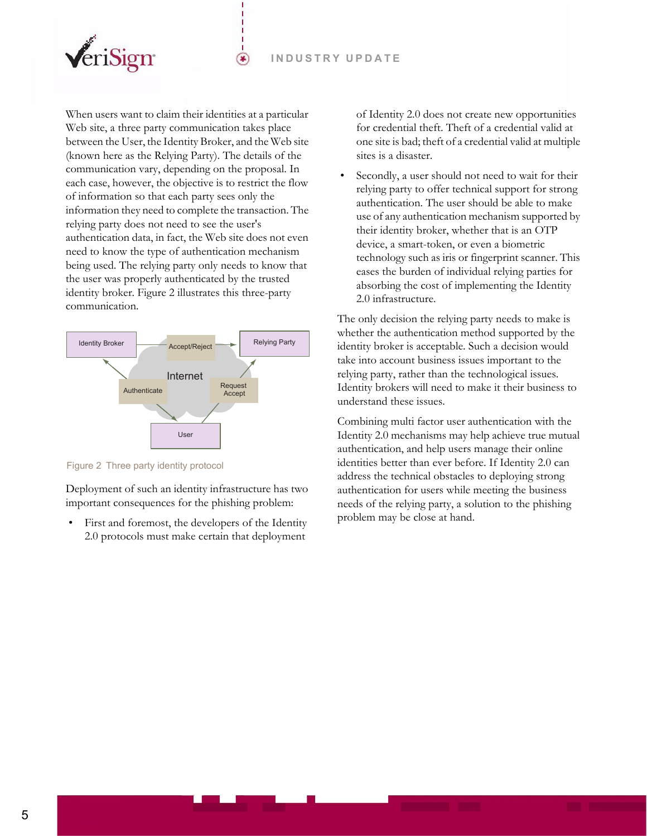⊛



When users want to claim their identities at a particular Web site, a three party communication takes place between the User, the Identity Broker, and the Web site (known here as the Relying Party). The details of the communication vary, depending on the proposal. In each case, however, the objective is to restrict the flow of information so that each party sees only the information they need to complete the transaction. The relying party does not need to see the user's authentication data, in fact, the Web site does not even need to know the type of authentication mechanism being used. The relying party only needs to know that the user was properly authenticated by the trusted identity broker. [Figure 2](#page-4-0) illustrates this three-party communication.



<span id="page-4-0"></span>Figure 2 Three party identity protocol

Deployment of such an identity infrastructure has two important consequences for the phishing problem:

First and foremost, the developers of the Identity 2.0 protocols must make certain that deployment

of Identity 2.0 does not create new opportunities for credential theft. Theft of a credential valid at one site is bad; theft of a credential valid at multiple sites is a disaster.

 • Secondly, a user should not need to wait for their relying party to offer technical support for strong authentication. The user should be able to make use of any authentication mechanism supported by their identity broker, whether that is an OTP device, a smart-token, or even a biometric technology such as iris or fingerprint scanner. This eases the burden of individual relying parties for absorbing the cost of implementing the Identity 2.0 infrastructure.

The only decision the relying party needs to make is whether the authentication method supported by the identity broker is acceptable. Such a decision would take into account business issues important to the relying party, rather than the technological issues. Identity brokers will need to make it their business to understand these issues.

Combining multi factor user authentication with the Identity 2.0 mechanisms may help achieve true mutual authentication, and help users manage their online identities better than ever before. If Identity 2.0 can address the technical obstacles to deploying strong authentication for users while meeting the business needs of the relying party, a solution to the phishing problem may be close at hand.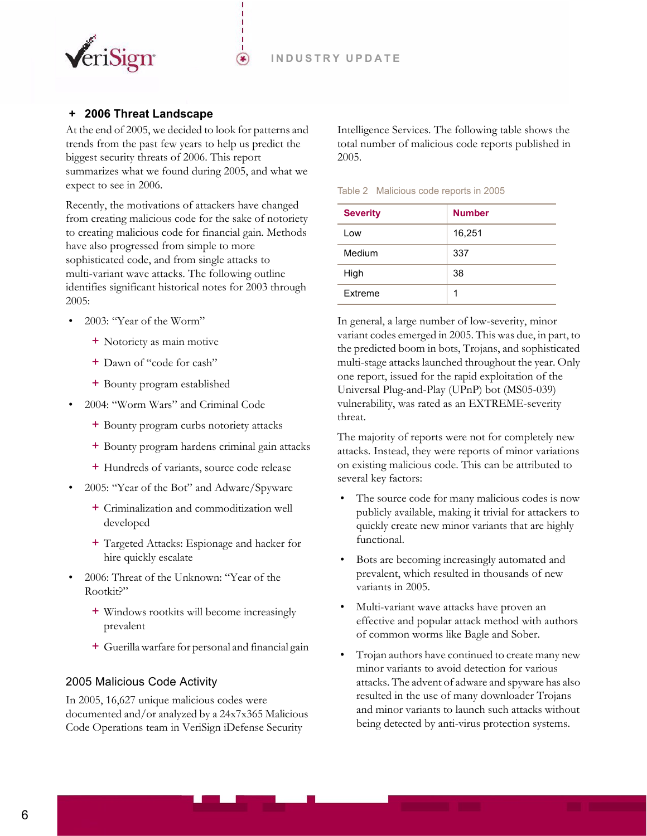

## <span id="page-5-0"></span> **+ 2006 Threat Landscape**

At the end of 2005, we decided to look for patterns and trends from the past few years to help us predict the biggest security threats of 2006. This report summarizes what we found during 2005, and what we expect to see in 2006.

 $(\bullet)$ 

Recently, the motivations of attackers have changed from creating malicious code for the sake of notoriety to creating malicious code for financial gain. Methods have also progressed from simple to more sophisticated code, and from single attacks to multi-variant wave attacks. The following outline identifies significant historical notes for 2003 through 2005:

- 2003: "Year of the Worm"
	- + Notoriety as main motive
	- + Dawn of "code for cash"
	- + Bounty program established
- 2004: "Worm Wars" and Criminal Code
	- + Bounty program curbs notoriety attacks
	- + Bounty program hardens criminal gain attacks
	- + Hundreds of variants, source code release
- 2005: "Year of the Bot" and Adware/Spyware
	- + Criminalization and commoditization well developed
	- + Targeted Attacks: Espionage and hacker for hire quickly escalate
- 2006: Threat of the Unknown: "Year of the Rootkit?"
	- + Windows rootkits will become increasingly prevalent
	- + Guerilla warfare for personal and financial gain

#### <span id="page-5-1"></span>2005 Malicious Code Activity

In 2005, 16,627 unique malicious codes were documented and/or analyzed by a 24x7x365 Malicious Code Operations team in VeriSign iDefense Security

Intelligence Services. The following table shows the total number of malicious code reports published in 2005.

Table 2 Malicious code reports in 2005

| <b>Severity</b> | <b>Number</b> |
|-----------------|---------------|
| Low             | 16,251        |
| Medium          | 337           |
| High            | 38            |
| Extreme         | 1             |

In general, a large number of low-severity, minor variant codes emerged in 2005. This was due, in part, to the predicted boom in bots, Trojans, and sophisticated multi-stage attacks launched throughout the year. Only one report, issued for the rapid exploitation of the Universal Plug-and-Play (UPnP) bot (MS05-039) vulnerability, was rated as an EXTREME-severity threat.

The majority of reports were not for completely new attacks. Instead, they were reports of minor variations on existing malicious code. This can be attributed to several key factors:

- The source code for many malicious codes is now publicly available, making it trivial for attackers to quickly create new minor variants that are highly functional.
- Bots are becoming increasingly automated and prevalent, which resulted in thousands of new variants in 2005.
- Multi-variant wave attacks have proven an effective and popular attack method with authors of common worms like Bagle and Sober.
- Trojan authors have continued to create many new minor variants to avoid detection for various attacks. The advent of adware and spyware has also resulted in the use of many downloader Trojans and minor variants to launch such attacks without being detected by anti-virus protection systems.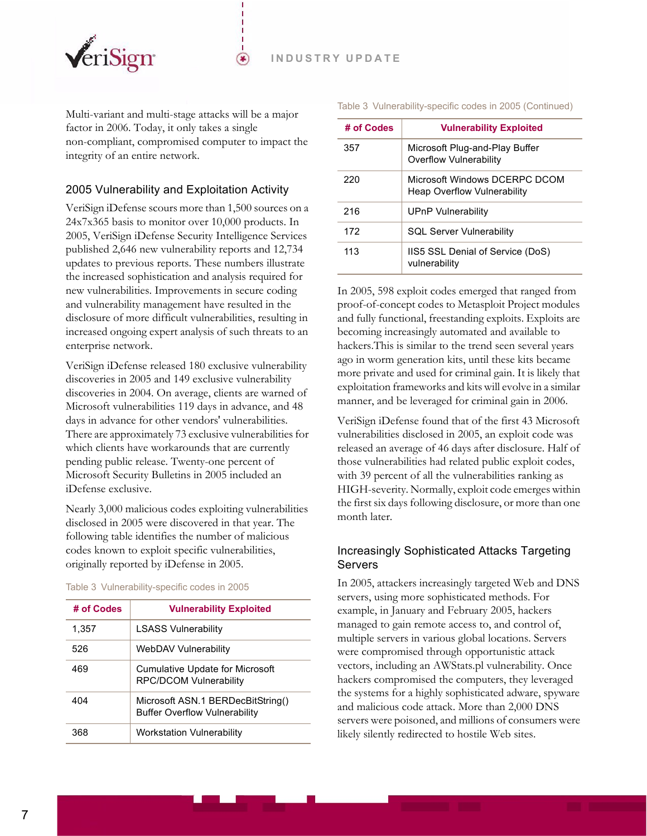

Multi-variant and multi-stage attacks will be a major factor in 2006. Today, it only takes a single non-compliant, compromised computer to impact the integrity of an entire network.

⊛

#### <span id="page-6-0"></span>2005 Vulnerability and Exploitation Activity

VeriSign iDefense scours more than 1,500 sources on a 24x7x365 basis to monitor over 10,000 products. In 2005, VeriSign iDefense Security Intelligence Services published 2,646 new vulnerability reports and 12,734 updates to previous reports. These numbers illustrate the increased sophistication and analysis required for new vulnerabilities. Improvements in secure coding and vulnerability management have resulted in the disclosure of more difficult vulnerabilities, resulting in increased ongoing expert analysis of such threats to an enterprise network.

VeriSign iDefense released 180 exclusive vulnerability discoveries in 2005 and 149 exclusive vulnerability discoveries in 2004. On average, clients are warned of Microsoft vulnerabilities 119 days in advance, and 48 days in advance for other vendors' vulnerabilities. There are approximately 73 exclusive vulnerabilities for which clients have workarounds that are currently pending public release. Twenty-one percent of Microsoft Security Bulletins in 2005 included an iDefense exclusive.

Nearly 3,000 malicious codes exploiting vulnerabilities disclosed in 2005 were discovered in that year. The following table identifies the number of malicious codes known to exploit specific vulnerabilities, originally reported by iDefense in 2005.

| # of Codes | <b>Vulnerability Exploited</b>                                            |
|------------|---------------------------------------------------------------------------|
| 1,357      | <b>LSASS Vulnerability</b>                                                |
| 526        | WebDAV Vulnerability                                                      |
| 469        | Cumulative Update for Microsoft<br><b>RPC/DCOM Vulnerability</b>          |
| 404        | Microsoft ASN.1 BERDecBitString()<br><b>Buffer Overflow Vulnerability</b> |
| 368.       | <b>Workstation Vulnerability</b>                                          |

#### Table 3 Vulnerability-specific codes in 2005

Table 3 Vulnerability-specific codes in 2005 (Continued)

| # of Codes | <b>Vulnerability Exploited</b>                                      |  |
|------------|---------------------------------------------------------------------|--|
| 357        | Microsoft Plug-and-Play Buffer<br><b>Overflow Vulnerability</b>     |  |
| 220        | Microsoft Windows DCFRPC DCOM<br><b>Heap Overflow Vulnerability</b> |  |
| 216        | UPnP Vulnerability                                                  |  |
| 172        | <b>SQL Server Vulnerability</b>                                     |  |
| 113        | IIS5 SSL Denial of Service (DoS)<br>vulnerability                   |  |

In 2005, 598 exploit codes emerged that ranged from proof-of-concept codes to Metasploit Project modules and fully functional, freestanding exploits. Exploits are becoming increasingly automated and available to hackers.This is similar to the trend seen several years ago in worm generation kits, until these kits became more private and used for criminal gain. It is likely that exploitation frameworks and kits will evolve in a similar manner, and be leveraged for criminal gain in 2006.

VeriSign iDefense found that of the first 43 Microsoft vulnerabilities disclosed in 2005, an exploit code was released an average of 46 days after disclosure. Half of those vulnerabilities had related public exploit codes, with 39 percent of all the vulnerabilities ranking as HIGH-severity. Normally, exploit code emerges within the first six days following disclosure, or more than one month later.

#### <span id="page-6-1"></span>Increasingly Sophisticated Attacks Targeting Servers

In 2005, attackers increasingly targeted Web and DNS servers, using more sophisticated methods. For example, in January and February 2005, hackers managed to gain remote access to, and control of, multiple servers in various global locations. Servers were compromised through opportunistic attack vectors, including an AWStats.pl vulnerability. Once hackers compromised the computers, they leveraged the systems for a highly sophisticated adware, spyware and malicious code attack. More than 2,000 DNS servers were poisoned, and millions of consumers were likely silently redirected to hostile Web sites.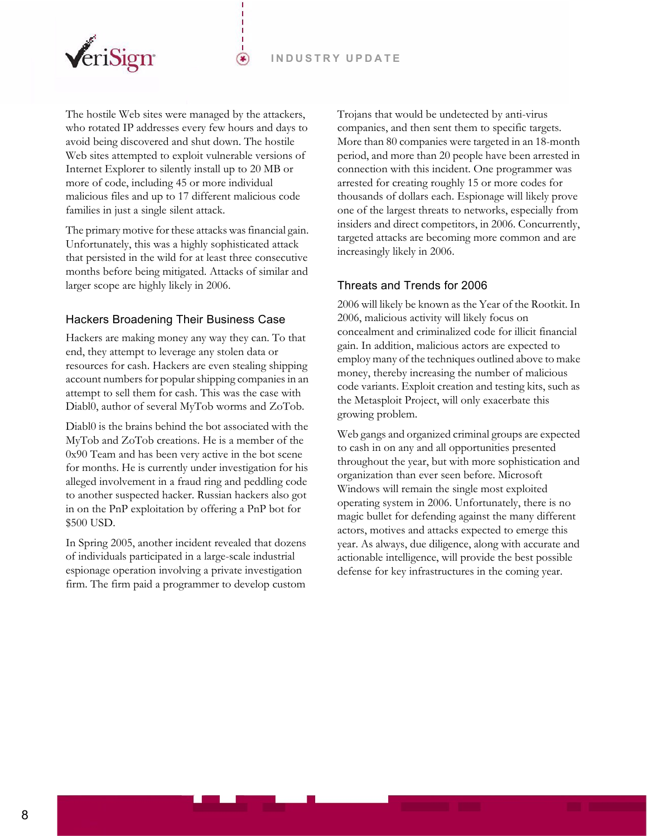

The hostile Web sites were managed by the attackers, who rotated IP addresses every few hours and days to avoid being discovered and shut down. The hostile Web sites attempted to exploit vulnerable versions of Internet Explorer to silently install up to 20 MB or more of code, including 45 or more individual malicious files and up to 17 different malicious code families in just a single silent attack.

 $\circledast$ 

The primary motive for these attacks was financial gain. Unfortunately, this was a highly sophisticated attack that persisted in the wild for at least three consecutive months before being mitigated. Attacks of similar and larger scope are highly likely in 2006.

#### <span id="page-7-0"></span>Hackers Broadening Their Business Case

Hackers are making money any way they can. To that end, they attempt to leverage any stolen data or resources for cash. Hackers are even stealing shipping account numbers for popular shipping companies in an attempt to sell them for cash. This was the case with Diabl0, author of several MyTob worms and ZoTob.

Diabl0 is the brains behind the bot associated with the MyTob and ZoTob creations. He is a member of the 0x90 Team and has been very active in the bot scene for months. He is currently under investigation for his alleged involvement in a fraud ring and peddling code to another suspected hacker. Russian hackers also got in on the PnP exploitation by offering a PnP bot for \$500 USD.

In Spring 2005, another incident revealed that dozens of individuals participated in a large-scale industrial espionage operation involving a private investigation firm. The firm paid a programmer to develop custom

Trojans that would be undetected by anti-virus companies, and then sent them to specific targets. More than 80 companies were targeted in an 18-month period, and more than 20 people have been arrested in connection with this incident. One programmer was arrested for creating roughly 15 or more codes for thousands of dollars each. Espionage will likely prove one of the largest threats to networks, especially from insiders and direct competitors, in 2006. Concurrently, targeted attacks are becoming more common and are increasingly likely in 2006.

#### <span id="page-7-1"></span>Threats and Trends for 2006

2006 will likely be known as the Year of the Rootkit. In 2006, malicious activity will likely focus on concealment and criminalized code for illicit financial gain. In addition, malicious actors are expected to employ many of the techniques outlined above to make money, thereby increasing the number of malicious code variants. Exploit creation and testing kits, such as the Metasploit Project, will only exacerbate this growing problem.

Web gangs and organized criminal groups are expected to cash in on any and all opportunities presented throughout the year, but with more sophistication and organization than ever seen before. Microsoft Windows will remain the single most exploited operating system in 2006. Unfortunately, there is no magic bullet for defending against the many different actors, motives and attacks expected to emerge this year. As always, due diligence, along with accurate and actionable intelligence, will provide the best possible defense for key infrastructures in the coming year.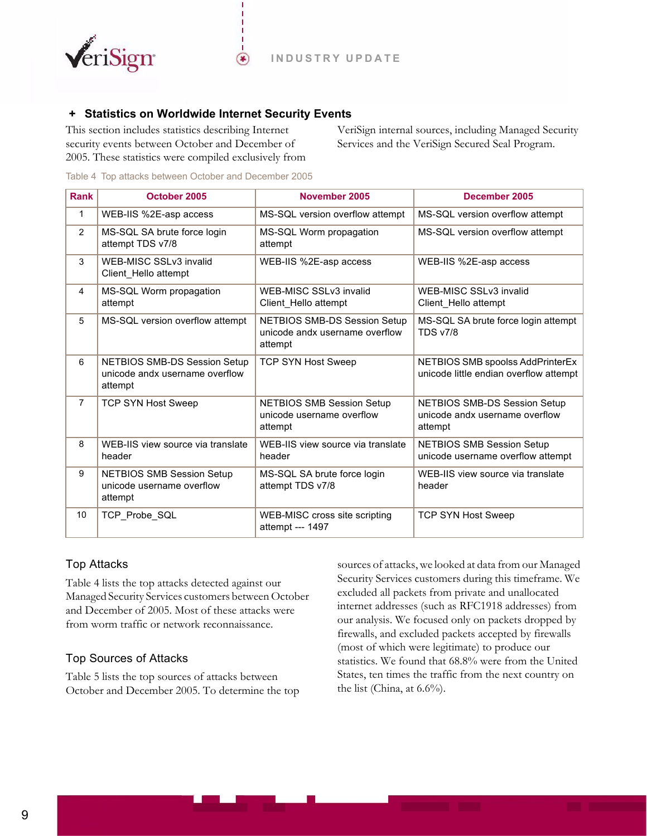

## <span id="page-8-0"></span> **+ Statistics on Worldwide Internet Security Events**

 $(\bullet)$ 

This section includes statistics describing Internet security events between October and December of 2005. These statistics were compiled exclusively from

VeriSign internal sources, including Managed Security Services and the VeriSign Secured Seal Program.

<span id="page-8-3"></span>Table 4 Top attacks between October and December 2005

| <b>Rank</b>    | October 2005                                                                     | November 2005                                                             | December 2005                                                              |
|----------------|----------------------------------------------------------------------------------|---------------------------------------------------------------------------|----------------------------------------------------------------------------|
| 1              | WEB-IIS %2E-asp access                                                           | MS-SQL version overflow attempt                                           | MS-SQL version overflow attempt                                            |
| 2              | MS-SQL SA brute force login<br>attempt TDS v7/8                                  | MS-SQL Worm propagation<br>attempt                                        | MS-SQL version overflow attempt                                            |
| 3              | WEB-MISC SSLv3 invalid<br>Client Hello attempt                                   | WEB-IIS %2E-asp access                                                    | WEB-IIS %2E-asp access                                                     |
| $\overline{4}$ | MS-SQL Worm propagation<br>attempt                                               | WEB-MISC SSLv3 invalid<br>Client Hello attempt                            | WEB-MISC SSLv3 invalid<br>Client Hello attempt                             |
| 5              | MS-SQL version overflow attempt                                                  | NETBIOS SMB-DS Session Setup<br>unicode andx username overflow<br>attempt | MS-SQL SA brute force login attempt<br><b>TDS v7/8</b>                     |
| 6              | <b>NETBIOS SMB-DS Session Setup</b><br>unicode andx username overflow<br>attempt | <b>TCP SYN Host Sweep</b>                                                 | NETBIOS SMB spoolss AddPrinterEx<br>unicode little endian overflow attempt |
| $\overline{7}$ | <b>TCP SYN Host Sweep</b>                                                        | <b>NETBIOS SMB Session Setup</b><br>unicode username overflow<br>attempt  | NETBIOS SMB-DS Session Setup<br>unicode andx username overflow<br>attempt  |
| 8              | WEB-IIS view source via translate<br>header                                      | WEB-IIS view source via translate<br>header                               | <b>NETBIOS SMB Session Setup</b><br>unicode username overflow attempt      |
| 9              | <b>NETBIOS SMB Session Setup</b><br>unicode username overflow<br>attempt         | MS-SQL SA brute force login<br>attempt TDS v7/8                           | WEB-IIS view source via translate<br>header                                |
| 10             | TCP_Probe_SQL                                                                    | WEB-MISC cross site scripting<br>attempt --- 1497                         | <b>TCP SYN Host Sweep</b>                                                  |

#### <span id="page-8-1"></span>Top Attacks

[Table 4](#page-8-3) lists the top attacks detected against our Managed Security Services customers between October and December of 2005. Most of these attacks were from worm traffic or network reconnaissance.

#### <span id="page-8-2"></span>Top Sources of Attacks

[Table 5](#page-9-2) lists the top sources of attacks between October and December 2005. To determine the top sources of attacks, we looked at data from our Managed Security Services customers during this timeframe. We excluded all packets from private and unallocated internet addresses (such as RFC1918 addresses) from our analysis. We focused only on packets dropped by firewalls, and excluded packets accepted by firewalls (most of which were legitimate) to produce our statistics. We found that 68.8% were from the United States, ten times the traffic from the next country on the list (China, at 6.6%).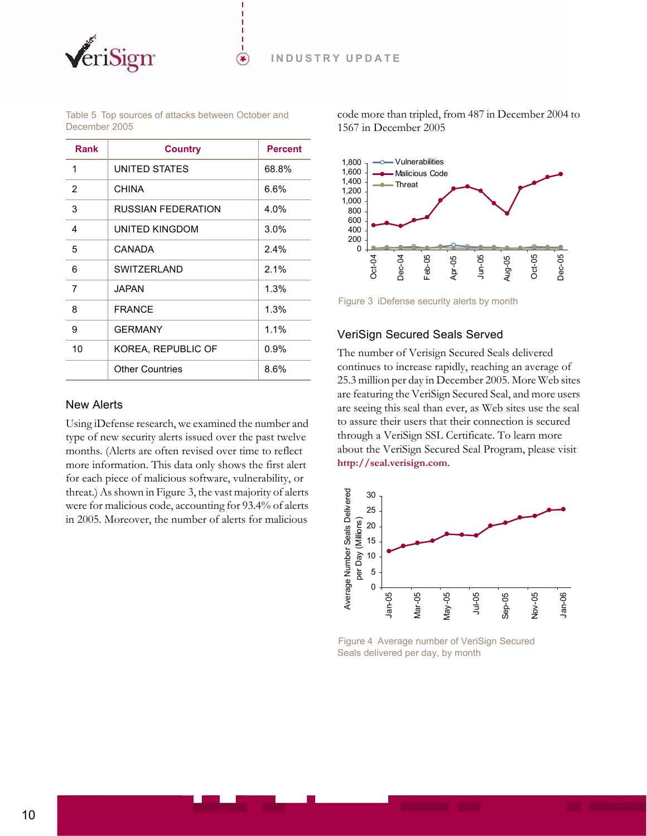

<span id="page-9-2"></span>Table 5 Top sources of attacks between October and December 2005

 $(\bullet)$ 

| Rank | <b>Country</b>         | <b>Percent</b> |
|------|------------------------|----------------|
| 1    | UNITED STATES          | 68.8%          |
| 2    | <b>CHINA</b>           | 6.6%           |
| 3    | RUSSIAN FEDERATION     | 4.0%           |
| 4    | UNITED KINGDOM         | $3.0\%$        |
| 5    | CANADA                 | $2.4\%$        |
| 6    | <b>SWITZERLAND</b>     | 2.1%           |
| 7    | JAPAN                  | 1.3%           |
| 8    | <b>FRANCE</b>          | 1.3%           |
| 9    | <b>GERMANY</b>         | 1.1%           |
| 10   | KOREA, REPUBLIC OF     | $0.9\%$        |
|      | <b>Other Countries</b> | 8.6%           |

#### <span id="page-9-0"></span>New Alerts

Using iDefense research, we examined the number and type of new security alerts issued over the past twelve months. (Alerts are often revised over time to reflect more information. This data only shows the first alert for each piece of malicious software, vulnerability, or threat.) As shown in [Figure 3](#page-9-3), the vast majority of alerts were for malicious code, accounting for 93.4% of alerts in 2005. Moreover, the number of alerts for malicious

code more than tripled, from 487 in December 2004 to 1567 in December 2005



<span id="page-9-3"></span>Figure 3 iDefense security alerts by month

#### <span id="page-9-1"></span>VeriSign Secured Seals Served

The number of Verisign Secured Seals delivered continues to increase rapidly, reaching an average of 25.3 million per day in December 2005. More Web sites are featuring the VeriSign Secured Seal, and more users are seeing this seal than ever, as Web sites use the seal to assure their users that their connection is secured through a VeriSign SSL Certificate. To learn more about the VeriSign Secured Seal Program, please visit **<http://seal.verisign.com>**.



Figure 4 Average number of VeriSign Secured Seals delivered per day, by month